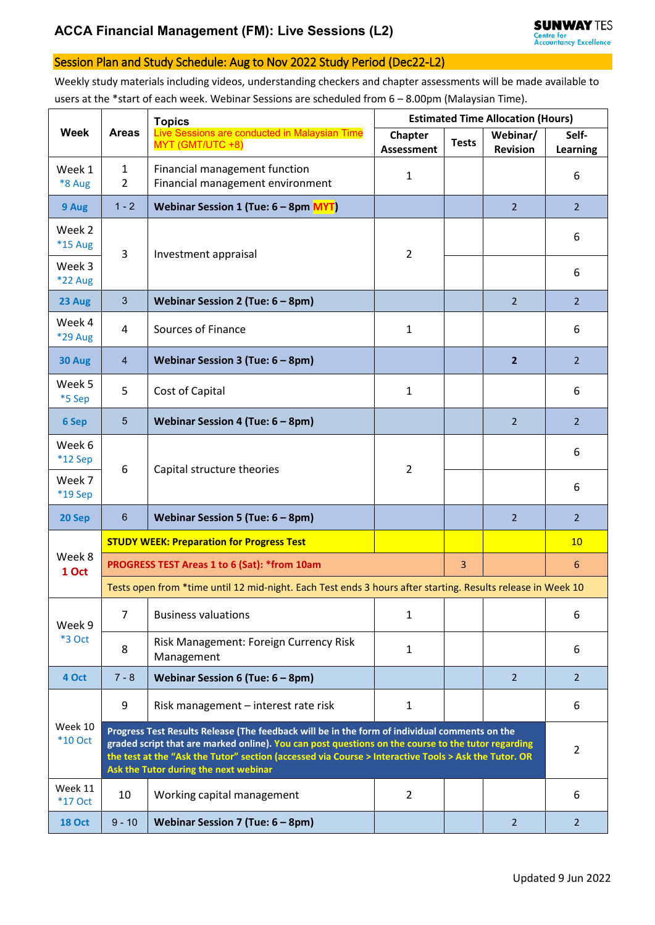## Session Plan and Study Schedule: Aug to Nov 2022 Study Period (Dec22-L2)

Weekly study materials including videos, understanding checkers and chapter assessments will be made available to users at the \*start of each week. Webinar Sessions are scheduled from 6 – 8.00pm (Malaysian Time).

|                           | <b>Areas</b>                                                                                                                                                                                                                                                                                                                                         | <b>Topics</b><br>Live Sessions are conducted in Malaysian Time<br>MYT (GMT/UTC +8) | <b>Estimated Time Allocation (Hours)</b> |              |                             |                   |  |  |
|---------------------------|------------------------------------------------------------------------------------------------------------------------------------------------------------------------------------------------------------------------------------------------------------------------------------------------------------------------------------------------------|------------------------------------------------------------------------------------|------------------------------------------|--------------|-----------------------------|-------------------|--|--|
| <b>Week</b>               |                                                                                                                                                                                                                                                                                                                                                      |                                                                                    | Chapter<br><b>Assessment</b>             | <b>Tests</b> | Webinar/<br><b>Revision</b> | Self-<br>Learning |  |  |
| Week 1<br>*8 Aug          | $\mathbf{1}$<br>2                                                                                                                                                                                                                                                                                                                                    | Financial management function<br>Financial management environment                  | 1                                        |              |                             | 6                 |  |  |
| 9 Aug                     | $1 - 2$                                                                                                                                                                                                                                                                                                                                              | Webinar Session 1 (Tue: 6 - 8pm MYT)                                               |                                          |              | $\overline{2}$              | $\overline{2}$    |  |  |
| Week 2<br>*15 Aug         | 3                                                                                                                                                                                                                                                                                                                                                    | Investment appraisal                                                               | 2                                        |              |                             | 6                 |  |  |
| Week 3<br>*22 Aug         |                                                                                                                                                                                                                                                                                                                                                      |                                                                                    |                                          |              |                             | 6                 |  |  |
| 23 Aug                    | $\mathbf{3}$                                                                                                                                                                                                                                                                                                                                         | Webinar Session 2 (Tue: $6 - 8$ pm)                                                |                                          |              | $\overline{2}$              | $\overline{2}$    |  |  |
| Week 4<br>*29 Aug         | $\overline{4}$                                                                                                                                                                                                                                                                                                                                       | Sources of Finance                                                                 | 1                                        |              |                             | 6                 |  |  |
| 30 Aug                    | $\overline{4}$                                                                                                                                                                                                                                                                                                                                       | Webinar Session 3 (Tue: $6 - 8$ pm)                                                |                                          |              | $\overline{2}$              | $\overline{2}$    |  |  |
| Week 5<br>*5 Sep          | 5                                                                                                                                                                                                                                                                                                                                                    | Cost of Capital                                                                    | 1                                        |              |                             | 6                 |  |  |
| 6 Sep                     | $5\phantom{.0}$                                                                                                                                                                                                                                                                                                                                      | Webinar Session 4 (Tue: $6 - 8$ pm)                                                |                                          |              | $\overline{2}$              | 2                 |  |  |
| Week 6<br>*12 Sep         | 6                                                                                                                                                                                                                                                                                                                                                    | Capital structure theories                                                         | $\overline{2}$                           |              |                             | 6                 |  |  |
| Week 7<br>*19 Sep         |                                                                                                                                                                                                                                                                                                                                                      |                                                                                    |                                          |              |                             | 6                 |  |  |
| 20 Sep                    | $6\phantom{1}6$                                                                                                                                                                                                                                                                                                                                      | Webinar Session 5 (Tue: $6 - 8$ pm)                                                |                                          |              | $\overline{2}$              | $\overline{2}$    |  |  |
| Week 8<br>1 Oct           | <b>STUDY WEEK: Preparation for Progress Test</b>                                                                                                                                                                                                                                                                                                     |                                                                                    |                                          |              |                             |                   |  |  |
|                           | PROGRESS TEST Areas 1 to 6 (Sat): * from 10am<br>$\overline{3}$                                                                                                                                                                                                                                                                                      |                                                                                    |                                          |              |                             |                   |  |  |
|                           | Tests open from *time until 12 mid-night. Each Test ends 3 hours after starting. Results release in Week 10                                                                                                                                                                                                                                          |                                                                                    |                                          |              |                             |                   |  |  |
| Week 9<br>*3 Oct          | $\overline{7}$                                                                                                                                                                                                                                                                                                                                       | <b>Business valuations</b>                                                         | 1                                        |              |                             | 6                 |  |  |
|                           | 8                                                                                                                                                                                                                                                                                                                                                    | Risk Management: Foreign Currency Risk<br>Management                               | 1                                        |              |                             | 6                 |  |  |
| 4 Oct                     | $7 - 8$                                                                                                                                                                                                                                                                                                                                              | Webinar Session 6 (Tue: $6 - 8$ pm)                                                |                                          |              | $\overline{2}$              | $\overline{2}$    |  |  |
| Week 10<br><b>*10 Oct</b> | 9                                                                                                                                                                                                                                                                                                                                                    | Risk management - interest rate risk                                               | 1                                        |              |                             | 6                 |  |  |
|                           | Progress Test Results Release (The feedback will be in the form of individual comments on the<br>graded script that are marked online). You can post questions on the course to the tutor regarding<br>the test at the "Ask the Tutor" section (accessed via Course > Interactive Tools > Ask the Tutor. OR<br>Ask the Tutor during the next webinar |                                                                                    |                                          |              |                             |                   |  |  |
| Week 11<br><b>*17 Oct</b> | 10                                                                                                                                                                                                                                                                                                                                                   | Working capital management                                                         | $\overline{2}$                           |              |                             | 6                 |  |  |
| <b>18 Oct</b>             | $9 - 10$                                                                                                                                                                                                                                                                                                                                             | Webinar Session 7 (Tue: $6 - 8$ pm)                                                |                                          |              | 2                           | $\overline{2}$    |  |  |